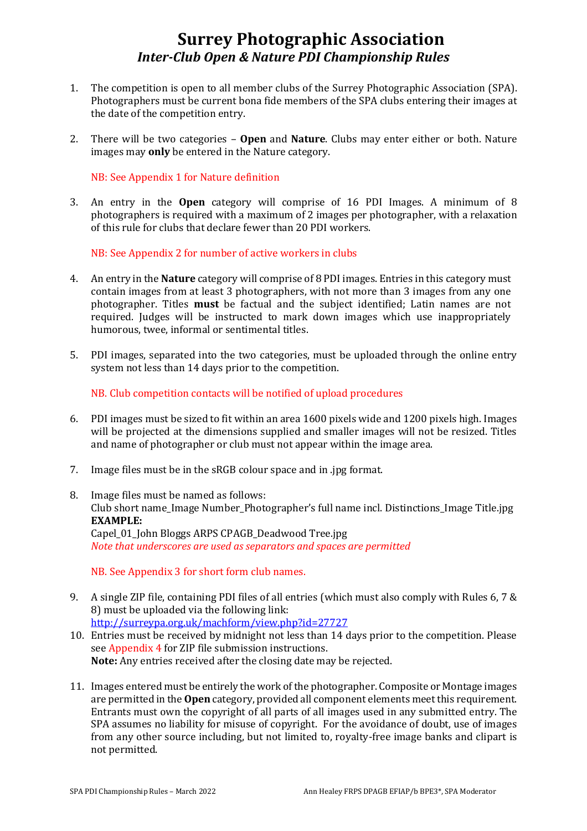# **Surrey Photographic Association** *Inter-Club Open & Nature PDI Championship Rules*

- 1. The competition is open to all member clubs of the Surrey Photographic Association (SPA). Photographers must be current bona fide members of the SPA clubs entering their images at the date of the competition entry.
- 2. There will be two categories **Open** and **Nature**. Clubs may enter either or both. Nature images may **only** be entered in the Nature category.

NB: See Appendix 1 for Nature definition

3. An entry in the **Open** category will comprise of 16 PDI Images. A minimum of 8 photographers is required with a maximum of 2 images per photographer, with a relaxation of this rule for clubs that declare fewer than 20 PDI workers.

NB: See Appendix 2 for number of active workers in clubs

- 4. An entry in the **Nature** category will comprise of 8 PDI images. Entries in this category must contain images from at least 3 photographers, with not more than 3 images from any one photographer. Titles **must** be factual and the subject identified; Latin names are not required. Judges will be instructed to mark down images which use inappropriately humorous, twee, informal or sentimental titles.
- 5. PDI images, separated into the two categories, must be uploaded through the online entry system not less than 14 days prior to the competition.

NB. Club competition contacts will be notified of upload procedures

- 6. PDI images must be sized to fit within an area 1600 pixels wide and 1200 pixels high. Images will be projected at the dimensions supplied and smaller images will not be resized. Titles and name of photographer or club must not appear within the image area.
- 7. Image files must be in the sRGB colour space and in .jpg format.
- 8. Image files must be named as follows: Club short name\_Image Number\_Photographer's full name incl. Distinctions\_Image Title.jpg **EXAMPLE:** Capel\_01\_John Bloggs ARPS CPAGB\_Deadwood Tree.jpg *Note that underscores are used as separators and spaces are permitted*

NB. See Appendix 3 for short form club names.

- 9. A single ZIP file, containing PDI files of all entries (which must also comply with Rules 6, 7 & 8) must be uploaded via the following link: <http://surreypa.org.uk/machform/view.php?id=27727>
- 10. Entries must be received by midnight not less than 14 days prior to the competition. Please see Appendix 4 for ZIP file submission instructions. **Note:** Any entries received after the closing date may be rejected.
- 11. Images entered must be entirely the work of the photographer. Composite or Montage images are permitted in the **Open** category, provided all component elements meet this requirement. Entrants must own the copyright of all parts of all images used in any submitted entry. The SPA assumes no liability for misuse of copyright. For the avoidance of doubt, use of images from any other source including, but not limited to, royalty-free image banks and clipart is not permitted.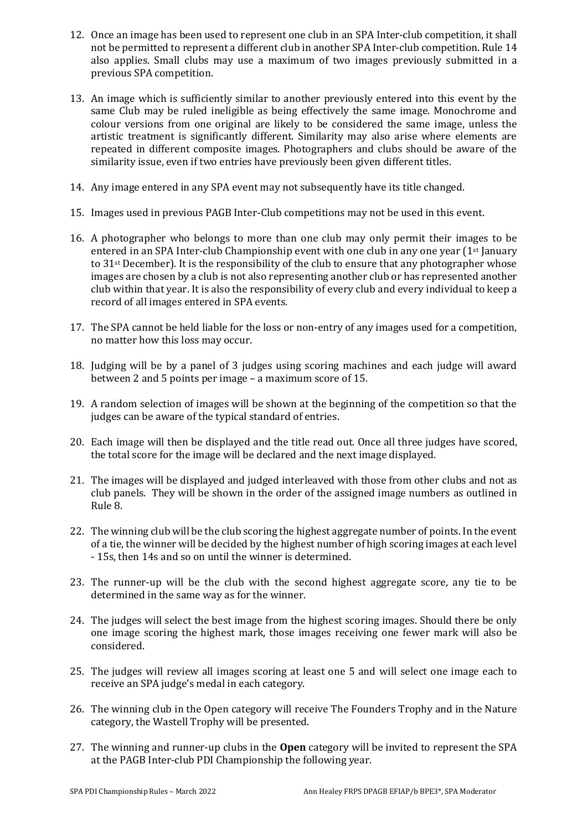- 12. Once an image has been used to represent one club in an SPA Inter-club competition, it shall not be permitted to represent a different club in another SPA Inter-club competition. Rule 14 also applies. Small clubs may use a maximum of two images previously submitted in a previous SPA competition.
- 13. An image which is sufficiently similar to another previously entered into this event by the same Club may be ruled ineligible as being effectively the same image. Monochrome and colour versions from one original are likely to be considered the same image, unless the artistic treatment is significantly different. Similarity may also arise where elements are repeated in different composite images. Photographers and clubs should be aware of the similarity issue, even if two entries have previously been given different titles.
- 14. Any image entered in any SPA event may not subsequently have its title changed.
- 15. Images used in previous PAGB Inter-Club competitions may not be used in this event.
- 16. A photographer who belongs to more than one club may only permit their images to be entered in an SPA Inter-club Championship event with one club in any one year  $(1<sup>st</sup>)$  January to 31st December). It is the responsibility of the club to ensure that any photographer whose images are chosen by a club is not also representing another club or has represented another club within that year. It is also the responsibility of every club and every individual to keep a record of all images entered in SPA events.
- 17. The SPA cannot be held liable for the loss or non-entry of any images used for a competition, no matter how this loss may occur.
- 18. Judging will be by a panel of 3 judges using scoring machines and each judge will award between 2 and 5 points per image – a maximum score of 15.
- 19. A random selection of images will be shown at the beginning of the competition so that the judges can be aware of the typical standard of entries.
- 20. Each image will then be displayed and the title read out. Once all three judges have scored, the total score for the image will be declared and the next image displayed.
- 21. The images will be displayed and judged interleaved with those from other clubs and not as club panels. They will be shown in the order of the assigned image numbers as outlined in Rule 8.
- 22. The winning club will be the club scoring the highest aggregate number of points. In the event of a tie, the winner will be decided by the highest number of high scoring images at each level - 15s, then 14s and so on until the winner is determined.
- 23. The runner-up will be the club with the second highest aggregate score, any tie to be determined in the same way as for the winner.
- 24. The judges will select the best image from the highest scoring images. Should there be only one image scoring the highest mark, those images receiving one fewer mark will also be considered.
- 25. The judges will review all images scoring at least one 5 and will select one image each to receive an SPA judge's medal in each category.
- 26. The winning club in the Open category will receive The Founders Trophy and in the Nature category, the Wastell Trophy will be presented.
- 27. The winning and runner-up clubs in the **Open** category will be invited to represent the SPA at the PAGB Inter-club PDI Championship the following year.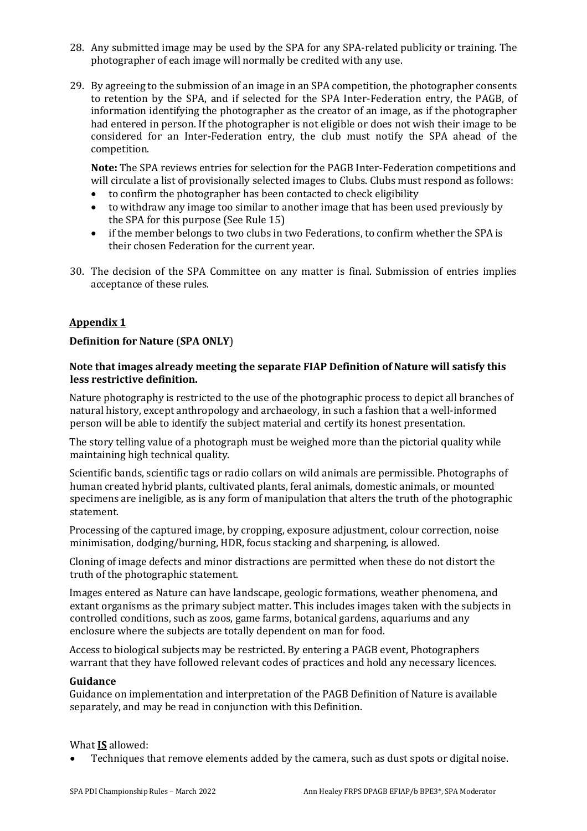- 28. Any submitted image may be used by the SPA for any SPA-related publicity or training. The photographer of each image will normally be credited with any use.
- 29. By agreeing to the submission of an image in an SPA competition, the photographer consents to retention by the SPA, and if selected for the SPA Inter-Federation entry, the PAGB, of information identifying the photographer as the creator of an image, as if the photographer had entered in person. If the photographer is not eligible or does not wish their image to be considered for an Inter-Federation entry, the club must notify the SPA ahead of the competition.

**Note:** The SPA reviews entries for selection for the PAGB Inter-Federation competitions and will circulate a list of provisionally selected images to Clubs. Clubs must respond as follows:

- to confirm the photographer has been contacted to check eligibility
- to withdraw any image too similar to another image that has been used previously by the SPA for this purpose (See Rule 15)
- if the member belongs to two clubs in two Federations, to confirm whether the SPA is their chosen Federation for the current year.
- 30. The decision of the SPA Committee on any matter is final. Submission of entries implies acceptance of these rules.

## **Appendix 1**

## **Definition for Nature** (**SPA ONLY**)

#### **Note that images already meeting the separate FIAP Definition of Nature will satisfy this less restrictive definition.**

Nature photography is restricted to the use of the photographic process to depict all branches of natural history, except anthropology and archaeology, in such a fashion that a well-informed person will be able to identify the subject material and certify its honest presentation.

The story telling value of a photograph must be weighed more than the pictorial quality while maintaining high technical quality.

Scientific bands, scientific tags or radio collars on wild animals are permissible. Photographs of human created hybrid plants, cultivated plants, feral animals, domestic animals, or mounted specimens are ineligible, as is any form of manipulation that alters the truth of the photographic statement.

Processing of the captured image, by cropping, exposure adjustment, colour correction, noise minimisation, dodging/burning, HDR, focus stacking and sharpening, is allowed.

Cloning of image defects and minor distractions are permitted when these do not distort the truth of the photographic statement.

Images entered as Nature can have landscape, geologic formations, weather phenomena, and extant organisms as the primary subject matter. This includes images taken with the subjects in controlled conditions, such as zoos, game farms, botanical gardens, aquariums and any enclosure where the subjects are totally dependent on man for food.

Access to biological subjects may be restricted. By entering a PAGB event, Photographers warrant that they have followed relevant codes of practices and hold any necessary licences.

#### **Guidance**

Guidance on implementation and interpretation of the PAGB Definition of Nature is available separately, and may be read in conjunction with this Definition.

#### What **IS** allowed:

• Techniques that remove elements added by the camera, such as dust spots or digital noise.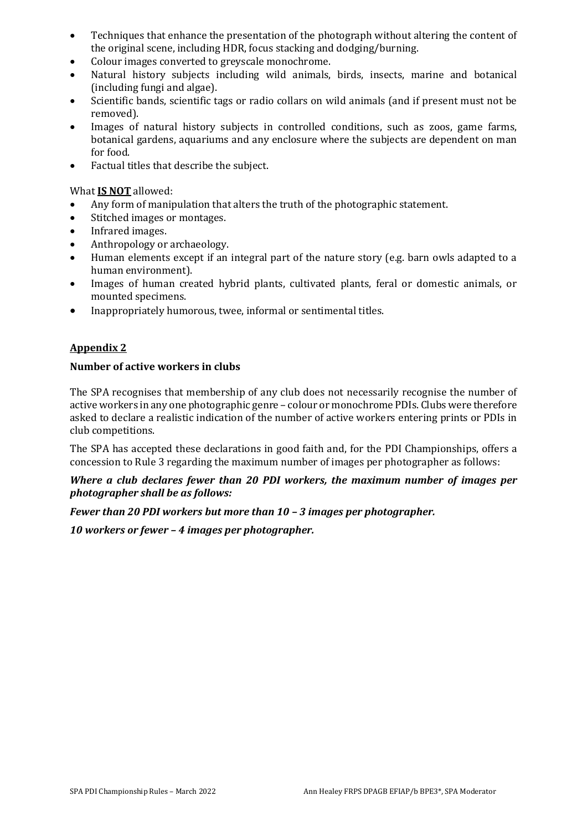- Techniques that enhance the presentation of the photograph without altering the content of the original scene, including HDR, focus stacking and dodging/burning.
- Colour images converted to greyscale monochrome.
- Natural history subjects including wild animals, birds, insects, marine and botanical (including fungi and algae).
- Scientific bands, scientific tags or radio collars on wild animals (and if present must not be removed).
- Images of natural history subjects in controlled conditions, such as zoos, game farms, botanical gardens, aquariums and any enclosure where the subjects are dependent on man for food.
- Factual titles that describe the subject.

## What **IS NOT** allowed:

- Any form of manipulation that alters the truth of the photographic statement.
- Stitched images or montages.
- Infrared images.
- Anthropology or archaeology.
- Human elements except if an integral part of the nature story (e.g. barn owls adapted to a human environment).
- Images of human created hybrid plants, cultivated plants, feral or domestic animals, or mounted specimens.
- Inappropriately humorous, twee, informal or sentimental titles.

## **Appendix 2**

## **Number of active workers in clubs**

The SPA recognises that membership of any club does not necessarily recognise the number of active workers in any one photographic genre – colour or monochrome PDIs. Clubs were therefore asked to declare a realistic indication of the number of active workers entering prints or PDIs in club competitions.

The SPA has accepted these declarations in good faith and, for the PDI Championships, offers a concession to Rule 3 regarding the maximum number of images per photographer as follows:

#### *Where a club declares fewer than 20 PDI workers, the maximum number of images per photographer shall be as follows:*

## *Fewer than 20 PDI workers but more than 10 – 3 images per photographer.*

*10 workers or fewer – 4 images per photographer.*